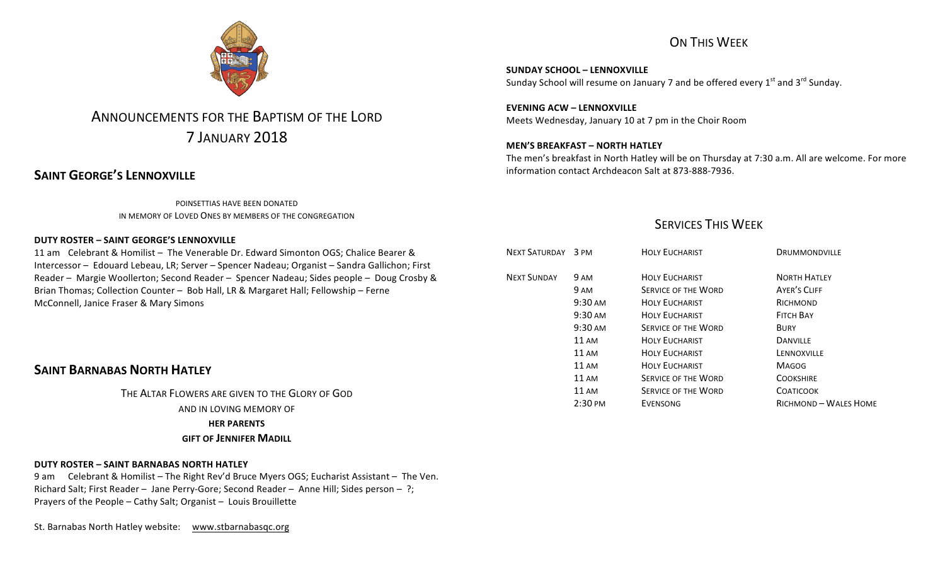# ON THIS WEEK

**SUNDAY SCHOOL – LENNOXVILLE** Sunday School will resume on January 7 and be offered every  $1^{st}$  and  $3^{rd}$  Sunday.

**EVENING ACW – LENNOXVILLE** Meets Wednesday, January 10 at 7 pm in the Choir Room

### **MEN'S BREAKFAST – NORTH HATLEY**

The men's breakfast in North Hatley will be on Thursday at 7:30 a.m. All are welcome. For more information contact Archdeacon Salt at 873-888-7936.

### **SERVICES THIS WEEK**

| NEXT SATURDAY 3 PM |                   | <b>HOLY EUCHARIST</b>      | <b>DRUMMONDVILLE</b>  |
|--------------------|-------------------|----------------------------|-----------------------|
| <b>NEXT SUNDAY</b> | 9 AM              | <b>HOLY FUCHARIST</b>      | <b>NORTH HATLEY</b>   |
|                    | 9 AM              | <b>SERVICE OF THE WORD</b> | <b>AYER'S CLIFF</b>   |
|                    | 9:30 AM           | <b>HOLY EUCHARIST</b>      | RICHMOND              |
|                    | $9:30 \text{ AM}$ | <b>HOLY EUCHARIST</b>      | <b>FITCH BAY</b>      |
|                    | $9:30 \text{ AM}$ | <b>SERVICE OF THE WORD</b> | <b>BURY</b>           |
|                    | $11 \text{ AM}$   | <b>HOLY EUCHARIST</b>      | <b>DANVILLE</b>       |
|                    | $11 \text{ AM}$   | <b>HOLY EUCHARIST</b>      | LENNOXVILLE           |
|                    | $11 \text{ AM}$   | <b>HOLY EUCHARIST</b>      | <b>MAGOG</b>          |
|                    | $11 \text{ AM}$   | <b>SERVICE OF THE WORD</b> | <b>COOKSHIRE</b>      |
|                    | $11 \text{ AM}$   | <b>SERVICE OF THE WORD</b> | <b>COATICOOK</b>      |
|                    | 2:30 PM           | <b>EVENSONG</b>            | RICHMOND - WALES HOME |



# ANNOUNCEMENTS FOR THE BAPTISM OF THE LORD 7 JANUARY 2018

# **SAINT GEORGE'S LENNOXVILLE**

POINSETTIAS HAVE BEEN DONATED IN MEMORY OF LOVED ONES BY MEMBERS OF THE CONGREGATION

#### **DUTY ROSTER – SAINT GEORGE'S LENNOXVILLE**

11 am Celebrant & Homilist - The Venerable Dr. Edward Simonton OGS; Chalice Bearer & Intercessor - Edouard Lebeau, LR; Server - Spencer Nadeau; Organist - Sandra Gallichon; First Reader – Margie Woollerton; Second Reader – Spencer Nadeau; Sides people – Doug Crosby & Brian Thomas; Collection Counter - Bob Hall, LR & Margaret Hall; Fellowship - Ferne McConnell, Janice Fraser & Mary Simons

# **SAINT BARNABAS NORTH HATLEY**

THE ALTAR FLOWERS ARE GIVEN TO THE GLORY OF GOD AND IN LOVING MEMORY OF **HER PARENTS GIFT OF JENNIFFR MADILL** 

### **DUTY ROSTER – SAINT BARNABAS NORTH HATLEY**

9 am Celebrant & Homilist – The Right Rev'd Bruce Myers OGS; Eucharist Assistant – The Ven. Richard Salt; First Reader - Jane Perry-Gore; Second Reader - Anne Hill; Sides person - ?; Prayers of the People  $-$  Cathy Salt; Organist  $-$  Louis Brouillette

St. Barnabas North Hatley website: www.stbarnabasqc.org